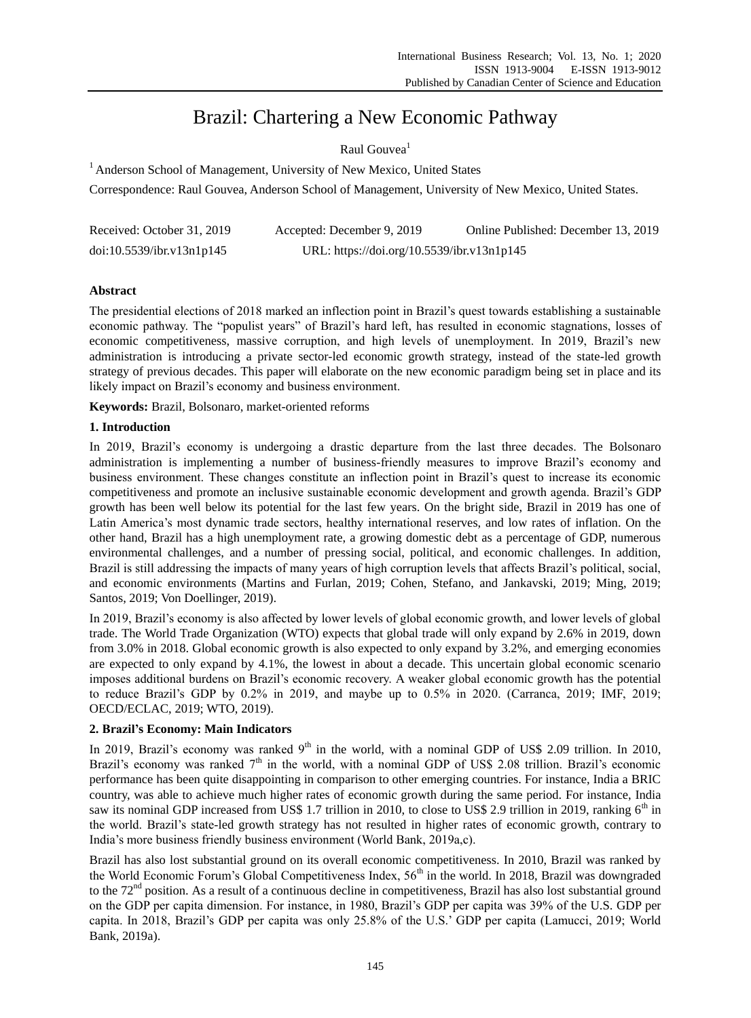# Brazil: Chartering a New Economic Pathway

# Raul Gouvea<sup>1</sup>

<sup>1</sup> Anderson School of Management, University of New Mexico, United States

Correspondence: Raul Gouvea, Anderson School of Management, University of New Mexico, United States.

| Received: October 31, 2019 | Accepted: December 9, 2019                 | Online Published: December 13, 2019 |
|----------------------------|--------------------------------------------|-------------------------------------|
| doi:10.5539/ibr.v13n1p145  | URL: https://doi.org/10.5539/ibr.v13n1p145 |                                     |

# **Abstract**

The presidential elections of 2018 marked an inflection point in Brazil's quest towards establishing a sustainable economic pathway. The "populist years" of Brazil's hard left, has resulted in economic stagnations, losses of economic competitiveness, massive corruption, and high levels of unemployment. In 2019, Brazil's new administration is introducing a private sector-led economic growth strategy, instead of the state-led growth strategy of previous decades. This paper will elaborate on the new economic paradigm being set in place and its likely impact on Brazil's economy and business environment.

**Keywords:** Brazil, Bolsonaro, market-oriented reforms

## **1. Introduction**

In 2019, Brazil's economy is undergoing a drastic departure from the last three decades. The Bolsonaro administration is implementing a number of business-friendly measures to improve Brazil's economy and business environment. These changes constitute an inflection point in Brazil's quest to increase its economic competitiveness and promote an inclusive sustainable economic development and growth agenda. Brazil's GDP growth has been well below its potential for the last few years. On the bright side, Brazil in 2019 has one of Latin America's most dynamic trade sectors, healthy international reserves, and low rates of inflation. On the other hand, Brazil has a high unemployment rate, a growing domestic debt as a percentage of GDP, numerous environmental challenges, and a number of pressing social, political, and economic challenges. In addition, Brazil is still addressing the impacts of many years of high corruption levels that affects Brazil's political, social, and economic environments (Martins and Furlan, 2019; Cohen, Stefano, and Jankavski, 2019; Ming, 2019; Santos, 2019; Von Doellinger, 2019).

In 2019, Brazil's economy is also affected by lower levels of global economic growth, and lower levels of global trade. The World Trade Organization (WTO) expects that global trade will only expand by 2.6% in 2019, down from 3.0% in 2018. Global economic growth is also expected to only expand by 3.2%, and emerging economies are expected to only expand by 4.1%, the lowest in about a decade. This uncertain global economic scenario imposes additional burdens on Brazil's economic recovery. A weaker global economic growth has the potential to reduce Brazil's GDP by 0.2% in 2019, and maybe up to 0.5% in 2020. (Carranca, 2019; IMF, 2019; OECD/ECLAC, 2019; WTO, 2019).

# **2. Brazil's Economy: Main Indicators**

In 2019, Brazil's economy was ranked  $9<sup>th</sup>$  in the world, with a nominal GDP of US\$ 2.09 trillion. In 2010, Brazil's economy was ranked  $7<sup>th</sup>$  in the world, with a nominal GDP of US\$ 2.08 trillion. Brazil's economic performance has been quite disappointing in comparison to other emerging countries. For instance, India a BRIC country, was able to achieve much higher rates of economic growth during the same period. For instance, India saw its nominal GDP increased from US\$ 1.7 trillion in 2010, to close to US\$ 2.9 trillion in 2019, ranking 6<sup>th</sup> in the world. Brazil's state-led growth strategy has not resulted in higher rates of economic growth, contrary to India's more business friendly business environment (World Bank, 2019a,c).

Brazil has also lost substantial ground on its overall economic competitiveness. In 2010, Brazil was ranked by the World Economic Forum's Global Competitiveness Index, 56<sup>th</sup> in the world. In 2018, Brazil was downgraded to the  $72<sup>nd</sup>$  position. As a result of a continuous decline in competitiveness, Brazil has also lost substantial ground on the GDP per capita dimension. For instance, in 1980, Brazil's GDP per capita was 39% of the U.S. GDP per capita. In 2018, Brazil's GDP per capita was only 25.8% of the U.S.' GDP per capita (Lamucci, 2019; World Bank, 2019a).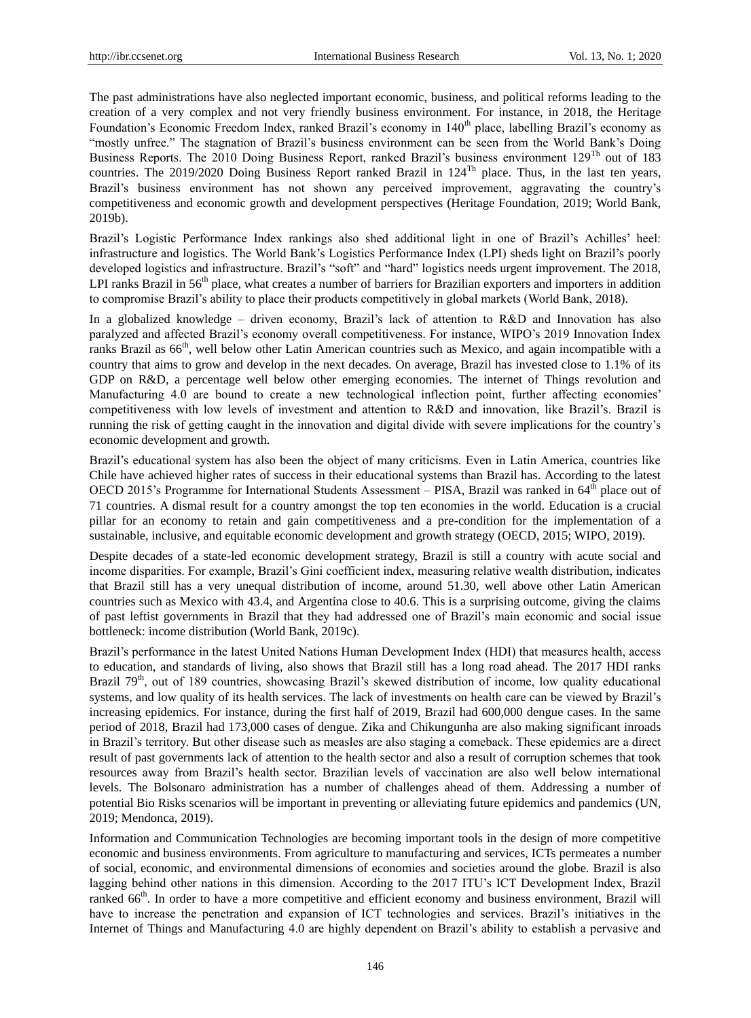The past administrations have also neglected important economic, business, and political reforms leading to the creation of a very complex and not very friendly business environment. For instance, in 2018, the Heritage Foundation's Economic Freedom Index, ranked Brazil's economy in 140<sup>th</sup> place, labelling Brazil's economy as "mostly unfree." The stagnation of Brazil's business environment can be seen from the World Bank's Doing Business Reports. The 2010 Doing Business Report, ranked Brazil's business environment 129<sup>Th</sup> out of 183 countries. The 2019/2020 Doing Business Report ranked Brazil in  $124<sup>Th</sup>$  place. Thus, in the last ten years, Brazil's business environment has not shown any perceived improvement, aggravating the country's competitiveness and economic growth and development perspectives (Heritage Foundation, 2019; World Bank, 2019b).

Brazil's Logistic Performance Index rankings also shed additional light in one of Brazil's Achilles' heel: infrastructure and logistics. The World Bank's Logistics Performance Index (LPI) sheds light on Brazil's poorly developed logistics and infrastructure. Brazil's "soft" and "hard" logistics needs urgent improvement. The 2018, LPI ranks Brazil in 56<sup>th</sup> place, what creates a number of barriers for Brazilian exporters and importers in addition to compromise Brazil's ability to place their products competitively in global markets (World Bank, 2018).

In a globalized knowledge – driven economy, Brazil's lack of attention to R&D and Innovation has also paralyzed and affected Brazil's economy overall competitiveness. For instance, WIPO's 2019 Innovation Index ranks Brazil as 66<sup>th</sup>, well below other Latin American countries such as Mexico, and again incompatible with a country that aims to grow and develop in the next decades. On average, Brazil has invested close to 1.1% of its GDP on R&D, a percentage well below other emerging economies. The internet of Things revolution and Manufacturing 4.0 are bound to create a new technological inflection point, further affecting economies' competitiveness with low levels of investment and attention to R&D and innovation, like Brazil's. Brazil is running the risk of getting caught in the innovation and digital divide with severe implications for the country's economic development and growth.

Brazil's educational system has also been the object of many criticisms. Even in Latin America, countries like Chile have achieved higher rates of success in their educational systems than Brazil has. According to the latest OECD 2015's Programme for International Students Assessment – PISA, Brazil was ranked in 64<sup>th</sup> place out of 71 countries. A dismal result for a country amongst the top ten economies in the world. Education is a crucial pillar for an economy to retain and gain competitiveness and a pre-condition for the implementation of a sustainable, inclusive, and equitable economic development and growth strategy (OECD, 2015; WIPO, 2019).

Despite decades of a state-led economic development strategy, Brazil is still a country with acute social and income disparities. For example, Brazil's Gini coefficient index, measuring relative wealth distribution, indicates that Brazil still has a very unequal distribution of income, around 51.30, well above other Latin American countries such as Mexico with 43.4, and Argentina close to 40.6. This is a surprising outcome, giving the claims of past leftist governments in Brazil that they had addressed one of Brazil's main economic and social issue bottleneck: income distribution (World Bank, 2019c).

Brazil's performance in the latest United Nations Human Development Index (HDI) that measures health, access to education, and standards of living, also shows that Brazil still has a long road ahead. The 2017 HDI ranks Brazil 79<sup>th</sup>, out of 189 countries, showcasing Brazil's skewed distribution of income, low quality educational systems, and low quality of its health services. The lack of investments on health care can be viewed by Brazil's increasing epidemics. For instance, during the first half of 2019, Brazil had 600,000 dengue cases. In the same period of 2018, Brazil had 173,000 cases of dengue. Zika and Chikungunha are also making significant inroads in Brazil's territory. But other disease such as measles are also staging a comeback. These epidemics are a direct result of past governments lack of attention to the health sector and also a result of corruption schemes that took resources away from Brazil's health sector. Brazilian levels of vaccination are also well below international levels. The Bolsonaro administration has a number of challenges ahead of them. Addressing a number of potential Bio Risks scenarios will be important in preventing or alleviating future epidemics and pandemics (UN, 2019; Mendonca, 2019).

Information and Communication Technologies are becoming important tools in the design of more competitive economic and business environments. From agriculture to manufacturing and services, ICTs permeates a number of social, economic, and environmental dimensions of economies and societies around the globe. Brazil is also lagging behind other nations in this dimension. According to the 2017 ITU's ICT Development Index, Brazil ranked 66<sup>th</sup>. In order to have a more competitive and efficient economy and business environment, Brazil will have to increase the penetration and expansion of ICT technologies and services. Brazil's initiatives in the Internet of Things and Manufacturing 4.0 are highly dependent on Brazil's ability to establish a pervasive and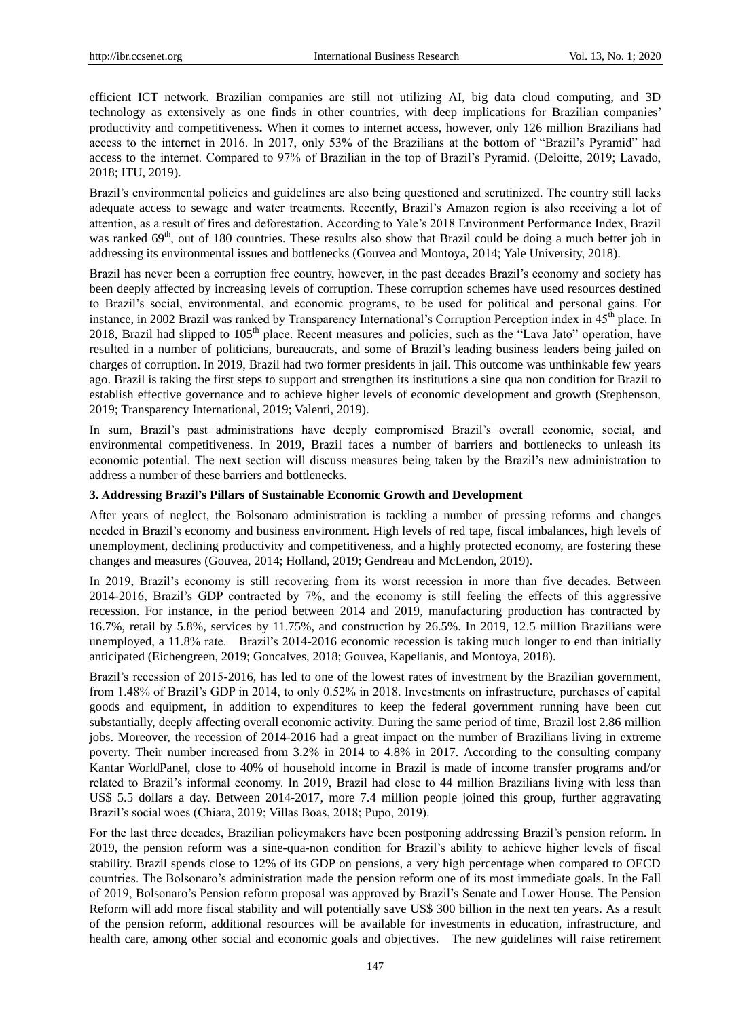efficient ICT network. Brazilian companies are still not utilizing AI, big data cloud computing, and 3D technology as extensively as one finds in other countries, with deep implications for Brazilian companies' productivity and competitiveness**.** When it comes to internet access, however, only 126 million Brazilians had access to the internet in 2016. In 2017, only 53% of the Brazilians at the bottom of "Brazil's Pyramid" had access to the internet. Compared to 97% of Brazilian in the top of Brazil's Pyramid. (Deloitte, 2019; Lavado, 2018; ITU, 2019).

Brazil's environmental policies and guidelines are also being questioned and scrutinized. The country still lacks adequate access to sewage and water treatments. Recently, Brazil's Amazon region is also receiving a lot of attention, as a result of fires and deforestation. According to Yale's 2018 Environment Performance Index, Brazil was ranked 69<sup>th</sup>, out of 180 countries. These results also show that Brazil could be doing a much better job in addressing its environmental issues and bottlenecks (Gouvea and Montoya, 2014; Yale University, 2018).

Brazil has never been a corruption free country, however, in the past decades Brazil's economy and society has been deeply affected by increasing levels of corruption. These corruption schemes have used resources destined to Brazil's social, environmental, and economic programs, to be used for political and personal gains. For instance, in 2002 Brazil was ranked by Transparency International's Corruption Perception index in 45<sup>th</sup> place. In 2018, Brazil had slipped to 105<sup>th</sup> place. Recent measures and policies, such as the "Lava Jato" operation, have resulted in a number of politicians, bureaucrats, and some of Brazil's leading business leaders being jailed on charges of corruption. In 2019, Brazil had two former presidents in jail. This outcome was unthinkable few years ago. Brazil is taking the first steps to support and strengthen its institutions a sine qua non condition for Brazil to establish effective governance and to achieve higher levels of economic development and growth (Stephenson, 2019; Transparency International, 2019; Valenti, 2019).

In sum, Brazil's past administrations have deeply compromised Brazil's overall economic, social, and environmental competitiveness. In 2019, Brazil faces a number of barriers and bottlenecks to unleash its economic potential. The next section will discuss measures being taken by the Brazil's new administration to address a number of these barriers and bottlenecks.

## **3. Addressing Brazil's Pillars of Sustainable Economic Growth and Development**

After years of neglect, the Bolsonaro administration is tackling a number of pressing reforms and changes needed in Brazil's economy and business environment. High levels of red tape, fiscal imbalances, high levels of unemployment, declining productivity and competitiveness, and a highly protected economy, are fostering these changes and measures (Gouvea, 2014; Holland, 2019; Gendreau and McLendon, 2019).

In 2019, Brazil's economy is still recovering from its worst recession in more than five decades. Between 2014-2016, Brazil's GDP contracted by 7%, and the economy is still feeling the effects of this aggressive recession. For instance, in the period between 2014 and 2019, manufacturing production has contracted by 16.7%, retail by 5.8%, services by 11.75%, and construction by 26.5%. In 2019, 12.5 million Brazilians were unemployed, a 11.8% rate. Brazil's 2014-2016 economic recession is taking much longer to end than initially anticipated (Eichengreen, 2019; Goncalves, 2018; Gouvea, Kapelianis, and Montoya, 2018).

Brazil's recession of 2015-2016, has led to one of the lowest rates of investment by the Brazilian government, from 1.48% of Brazil's GDP in 2014, to only 0.52% in 2018. Investments on infrastructure, purchases of capital goods and equipment, in addition to expenditures to keep the federal government running have been cut substantially, deeply affecting overall economic activity. During the same period of time, Brazil lost 2.86 million jobs. Moreover, the recession of 2014-2016 had a great impact on the number of Brazilians living in extreme poverty. Their number increased from 3.2% in 2014 to 4.8% in 2017. According to the consulting company Kantar WorldPanel, close to 40% of household income in Brazil is made of income transfer programs and/or related to Brazil's informal economy. In 2019, Brazil had close to 44 million Brazilians living with less than US\$ 5.5 dollars a day. Between 2014-2017, more 7.4 million people joined this group, further aggravating Brazil's social woes (Chiara, 2019; Villas Boas, 2018; Pupo, 2019).

For the last three decades, Brazilian policymakers have been postponing addressing Brazil's pension reform. In 2019, the pension reform was a sine-qua-non condition for Brazil's ability to achieve higher levels of fiscal stability. Brazil spends close to 12% of its GDP on pensions, a very high percentage when compared to OECD countries. The Bolsonaro's administration made the pension reform one of its most immediate goals. In the Fall of 2019, Bolsonaro's Pension reform proposal was approved by Brazil's Senate and Lower House. The Pension Reform will add more fiscal stability and will potentially save US\$ 300 billion in the next ten years. As a result of the pension reform, additional resources will be available for investments in education, infrastructure, and health care, among other social and economic goals and objectives. The new guidelines will raise retirement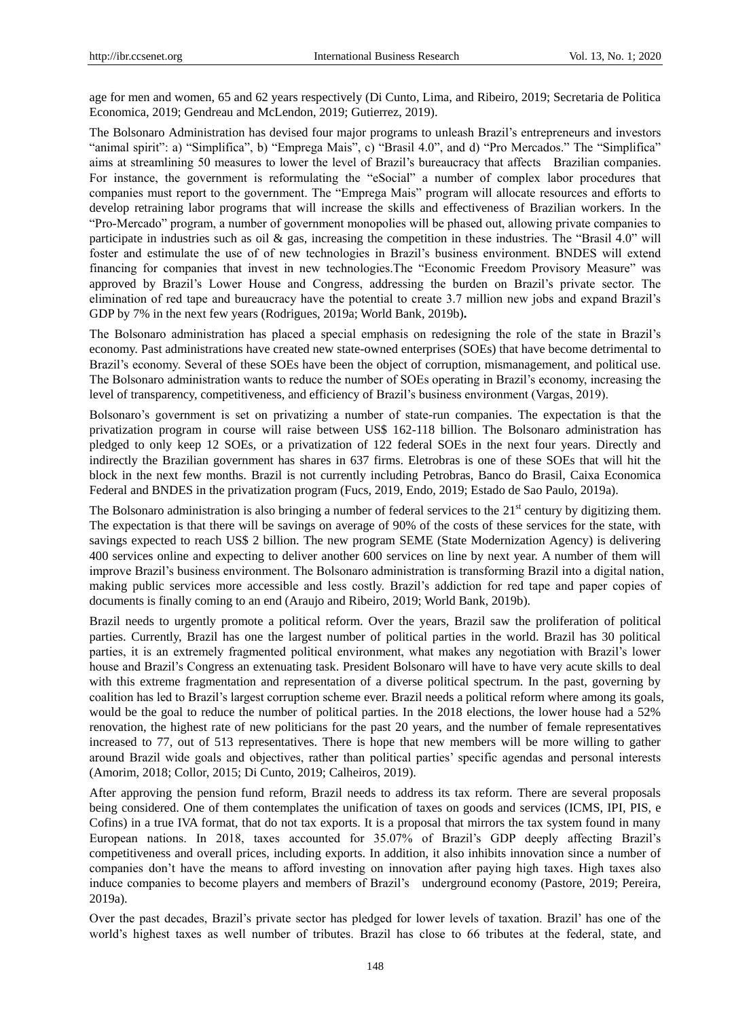age for men and women, 65 and 62 years respectively (Di Cunto, Lima, and Ribeiro, 2019; Secretaria de Politica Economica, 2019; Gendreau and McLendon, 2019; Gutierrez, 2019).

The Bolsonaro Administration has devised four major programs to unleash Brazil's entrepreneurs and investors "animal spirit": a) "Simplifica", b) "Emprega Mais", c) "Brasil 4.0", and d) "Pro Mercados." The "Simplifica" aims at streamlining 50 measures to lower the level of Brazil's bureaucracy that affects Brazilian companies. For instance, the government is reformulating the "eSocial" a number of complex labor procedures that companies must report to the government. The "Emprega Mais" program will allocate resources and efforts to develop retraining labor programs that will increase the skills and effectiveness of Brazilian workers. In the "Pro-Mercado" program, a number of government monopolies will be phased out, allowing private companies to participate in industries such as oil & gas, increasing the competition in these industries. The "Brasil 4.0" will foster and estimulate the use of of new technologies in Brazil's business environment. BNDES will extend financing for companies that invest in new technologies.The "Economic Freedom Provisory Measure" was approved by Brazil's Lower House and Congress, addressing the burden on Brazil's private sector. The elimination of red tape and bureaucracy have the potential to create 3.7 million new jobs and expand Brazil's GDP by 7% in the next few years (Rodrigues, 2019a; World Bank, 2019b)**.** 

The Bolsonaro administration has placed a special emphasis on redesigning the role of the state in Brazil's economy. Past administrations have created new state-owned enterprises (SOEs) that have become detrimental to Brazil's economy. Several of these SOEs have been the object of corruption, mismanagement, and political use. The Bolsonaro administration wants to reduce the number of SOEs operating in Brazil's economy, increasing the level of transparency, competitiveness, and efficiency of Brazil's business environment (Vargas, 2019).

Bolsonaro's government is set on privatizing a number of state-run companies. The expectation is that the privatization program in course will raise between US\$ 162-118 billion. The Bolsonaro administration has pledged to only keep 12 SOEs, or a privatization of 122 federal SOEs in the next four years. Directly and indirectly the Brazilian government has shares in 637 firms. Eletrobras is one of these SOEs that will hit the block in the next few months. Brazil is not currently including Petrobras, Banco do Brasil, Caixa Economica Federal and BNDES in the privatization program (Fucs, 2019, Endo, 2019; Estado de Sao Paulo, 2019a).

The Bolsonaro administration is also bringing a number of federal services to the  $21<sup>st</sup>$  century by digitizing them. The expectation is that there will be savings on average of 90% of the costs of these services for the state, with savings expected to reach US\$ 2 billion. The new program SEME (State Modernization Agency) is delivering 400 services online and expecting to deliver another 600 services on line by next year. A number of them will improve Brazil's business environment. The Bolsonaro administration is transforming Brazil into a digital nation, making public services more accessible and less costly. Brazil's addiction for red tape and paper copies of documents is finally coming to an end (Araujo and Ribeiro, 2019; World Bank, 2019b).

Brazil needs to urgently promote a political reform. Over the years, Brazil saw the proliferation of political parties. Currently, Brazil has one the largest number of political parties in the world. Brazil has 30 political parties, it is an extremely fragmented political environment, what makes any negotiation with Brazil's lower house and Brazil's Congress an extenuating task. President Bolsonaro will have to have very acute skills to deal with this extreme fragmentation and representation of a diverse political spectrum. In the past, governing by coalition has led to Brazil's largest corruption scheme ever. Brazil needs a political reform where among its goals, would be the goal to reduce the number of political parties. In the 2018 elections, the lower house had a 52% renovation, the highest rate of new politicians for the past 20 years, and the number of female representatives increased to 77, out of 513 representatives. There is hope that new members will be more willing to gather around Brazil wide goals and objectives, rather than political parties' specific agendas and personal interests (Amorim, 2018; Collor, 2015; Di Cunto, 2019; Calheiros, 2019).

After approving the pension fund reform, Brazil needs to address its tax reform. There are several proposals being considered. One of them contemplates the unification of taxes on goods and services (ICMS, IPI, PIS, e Cofins) in a true IVA format, that do not tax exports. It is a proposal that mirrors the tax system found in many European nations. In 2018, taxes accounted for 35.07% of Brazil's GDP deeply affecting Brazil's competitiveness and overall prices, including exports. In addition, it also inhibits innovation since a number of companies don't have the means to afford investing on innovation after paying high taxes. High taxes also induce companies to become players and members of Brazil's underground economy (Pastore, 2019; Pereira, 2019a).

Over the past decades, Brazil's private sector has pledged for lower levels of taxation. Brazil' has one of the world's highest taxes as well number of tributes. Brazil has close to 66 tributes at the federal, state, and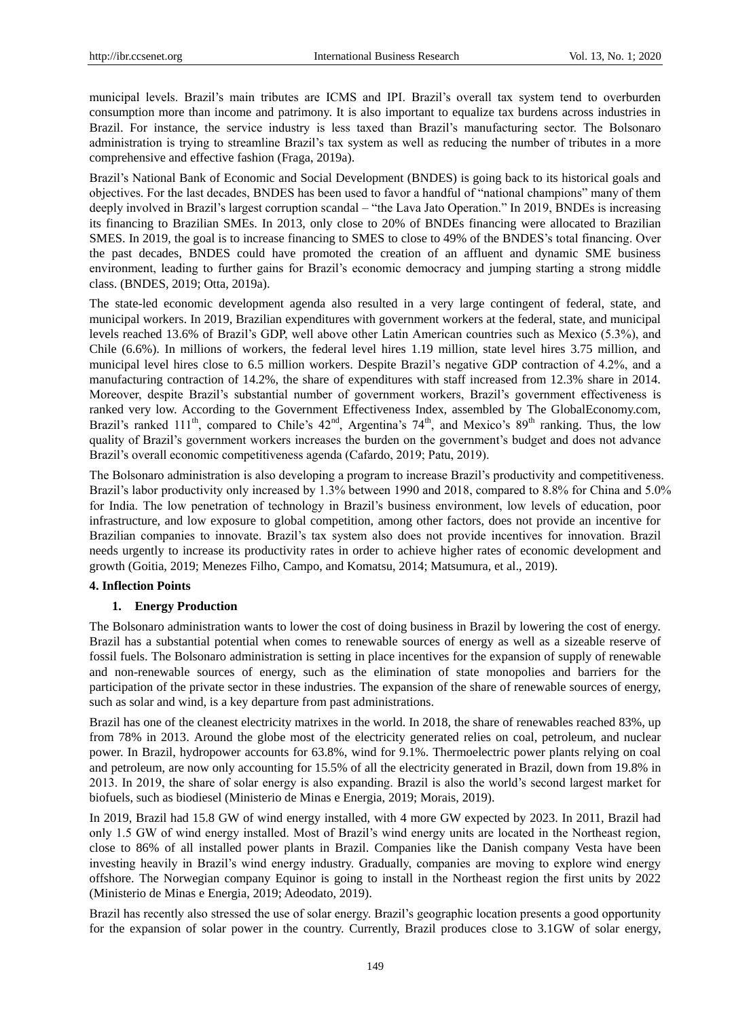municipal levels. Brazil's main tributes are ICMS and IPI. Brazil's overall tax system tend to overburden consumption more than income and patrimony. It is also important to equalize tax burdens across industries in Brazil. For instance, the service industry is less taxed than Brazil's manufacturing sector. The Bolsonaro administration is trying to streamline Brazil's tax system as well as reducing the number of tributes in a more comprehensive and effective fashion (Fraga, 2019a).

Brazil's National Bank of Economic and Social Development (BNDES) is going back to its historical goals and objectives. For the last decades, BNDES has been used to favor a handful of "national champions" many of them deeply involved in Brazil's largest corruption scandal – "the Lava Jato Operation." In 2019, BNDEs is increasing its financing to Brazilian SMEs. In 2013, only close to 20% of BNDEs financing were allocated to Brazilian SMES. In 2019, the goal is to increase financing to SMES to close to 49% of the BNDES's total financing. Over the past decades, BNDES could have promoted the creation of an affluent and dynamic SME business environment, leading to further gains for Brazil's economic democracy and jumping starting a strong middle class. (BNDES, 2019; Otta, 2019a).

The state-led economic development agenda also resulted in a very large contingent of federal, state, and municipal workers. In 2019, Brazilian expenditures with government workers at the federal, state, and municipal levels reached 13.6% of Brazil's GDP, well above other Latin American countries such as Mexico (5.3%), and Chile (6.6%). In millions of workers, the federal level hires 1.19 million, state level hires 3.75 million, and municipal level hires close to 6.5 million workers. Despite Brazil's negative GDP contraction of 4.2%, and a manufacturing contraction of 14.2%, the share of expenditures with staff increased from 12.3% share in 2014. Moreover, despite Brazil's substantial number of government workers, Brazil's government effectiveness is ranked very low. According to the Government Effectiveness Index, assembled by The GlobalEconomy.com, Brazil's ranked 111<sup>th</sup>, compared to Chile's 42<sup>nd</sup>, Argentina's 74<sup>th</sup>, and Mexico's 89<sup>th</sup> ranking. Thus, the low quality of Brazil's government workers increases the burden on the government's budget and does not advance Brazil's overall economic competitiveness agenda (Cafardo, 2019; Patu, 2019).

The Bolsonaro administration is also developing a program to increase Brazil's productivity and competitiveness. Brazil's labor productivity only increased by 1.3% between 1990 and 2018, compared to 8.8% for China and 5.0% for India. The low penetration of technology in Brazil's business environment, low levels of education, poor infrastructure, and low exposure to global competition, among other factors, does not provide an incentive for Brazilian companies to innovate. Brazil's tax system also does not provide incentives for innovation. Brazil needs urgently to increase its productivity rates in order to achieve higher rates of economic development and growth (Goitia, 2019; Menezes Filho, Campo, and Komatsu, 2014; Matsumura, et al., 2019).

#### **4. Inflection Points**

#### **1. Energy Production**

The Bolsonaro administration wants to lower the cost of doing business in Brazil by lowering the cost of energy. Brazil has a substantial potential when comes to renewable sources of energy as well as a sizeable reserve of fossil fuels. The Bolsonaro administration is setting in place incentives for the expansion of supply of renewable and non-renewable sources of energy, such as the elimination of state monopolies and barriers for the participation of the private sector in these industries. The expansion of the share of renewable sources of energy, such as solar and wind, is a key departure from past administrations.

Brazil has one of the cleanest electricity matrixes in the world. In 2018, the share of renewables reached 83%, up from 78% in 2013. Around the globe most of the electricity generated relies on coal, petroleum, and nuclear power. In Brazil, hydropower accounts for 63.8%, wind for 9.1%. Thermoelectric power plants relying on coal and petroleum, are now only accounting for 15.5% of all the electricity generated in Brazil, down from 19.8% in 2013. In 2019, the share of solar energy is also expanding. Brazil is also the world's second largest market for biofuels, such as biodiesel (Ministerio de Minas e Energia, 2019; Morais, 2019).

In 2019, Brazil had 15.8 GW of wind energy installed, with 4 more GW expected by 2023. In 2011, Brazil had only 1.5 GW of wind energy installed. Most of Brazil's wind energy units are located in the Northeast region, close to 86% of all installed power plants in Brazil. Companies like the Danish company Vesta have been investing heavily in Brazil's wind energy industry. Gradually, companies are moving to explore wind energy offshore. The Norwegian company Equinor is going to install in the Northeast region the first units by 2022 (Ministerio de Minas e Energia, 2019; Adeodato, 2019).

Brazil has recently also stressed the use of solar energy. Brazil's geographic location presents a good opportunity for the expansion of solar power in the country. Currently, Brazil produces close to 3.1GW of solar energy,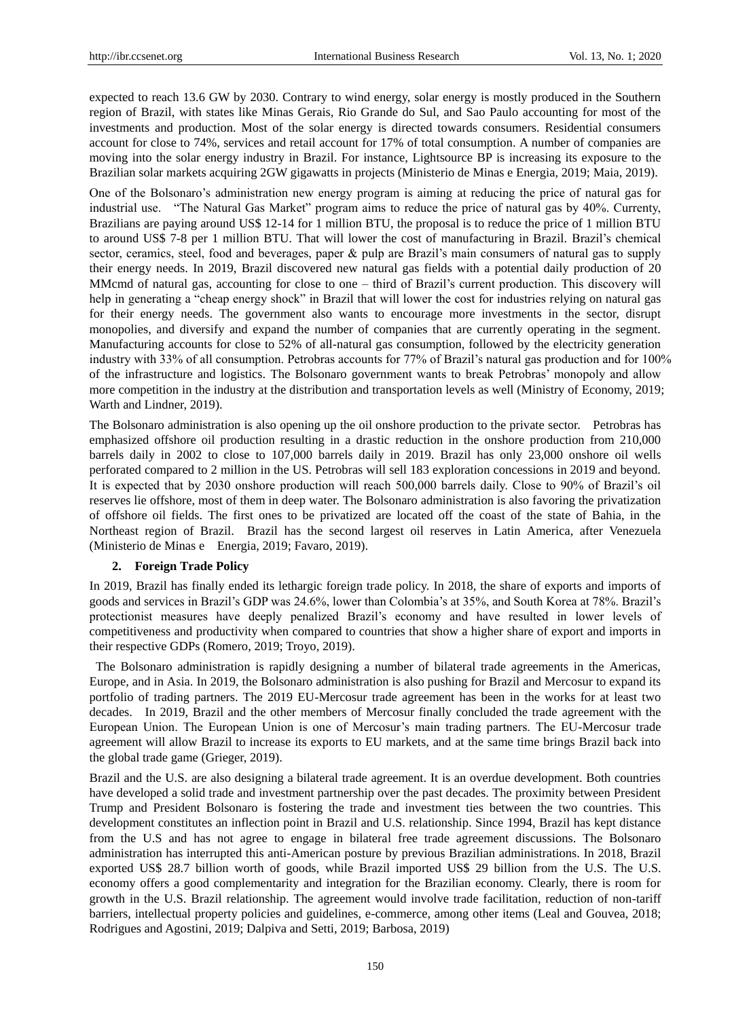expected to reach 13.6 GW by 2030. Contrary to wind energy, solar energy is mostly produced in the Southern region of Brazil, with states like Minas Gerais, Rio Grande do Sul, and Sao Paulo accounting for most of the investments and production. Most of the solar energy is directed towards consumers. Residential consumers account for close to 74%, services and retail account for 17% of total consumption. A number of companies are moving into the solar energy industry in Brazil. For instance, Lightsource BP is increasing its exposure to the Brazilian solar markets acquiring 2GW gigawatts in projects (Ministerio de Minas e Energia, 2019; Maia, 2019).

One of the Bolsonaro's administration new energy program is aiming at reducing the price of natural gas for industrial use. "The Natural Gas Market" program aims to reduce the price of natural gas by 40%. Currenty, Brazilians are paying around US\$ 12-14 for 1 million BTU, the proposal is to reduce the price of 1 million BTU to around US\$ 7-8 per 1 million BTU. That will lower the cost of manufacturing in Brazil. Brazil's chemical sector, ceramics, steel, food and beverages, paper & pulp are Brazil's main consumers of natural gas to supply their energy needs. In 2019, Brazil discovered new natural gas fields with a potential daily production of 20 MMcmd of natural gas, accounting for close to one – third of Brazil's current production. This discovery will help in generating a "cheap energy shock" in Brazil that will lower the cost for industries relying on natural gas for their energy needs. The government also wants to encourage more investments in the sector, disrupt monopolies, and diversify and expand the number of companies that are currently operating in the segment. Manufacturing accounts for close to 52% of all-natural gas consumption, followed by the electricity generation industry with 33% of all consumption. Petrobras accounts for 77% of Brazil's natural gas production and for 100% of the infrastructure and logistics. The Bolsonaro government wants to break Petrobras' monopoly and allow more competition in the industry at the distribution and transportation levels as well (Ministry of Economy, 2019; Warth and Lindner, 2019).

The Bolsonaro administration is also opening up the oil onshore production to the private sector. Petrobras has emphasized offshore oil production resulting in a drastic reduction in the onshore production from 210,000 barrels daily in 2002 to close to 107,000 barrels daily in 2019. Brazil has only 23,000 onshore oil wells perforated compared to 2 million in the US. Petrobras will sell 183 exploration concessions in 2019 and beyond. It is expected that by 2030 onshore production will reach 500,000 barrels daily. Close to 90% of Brazil's oil reserves lie offshore, most of them in deep water. The Bolsonaro administration is also favoring the privatization of offshore oil fields. The first ones to be privatized are located off the coast of the state of Bahia, in the Northeast region of Brazil. Brazil has the second largest oil reserves in Latin America, after Venezuela (Ministerio de Minas e Energia, 2019; Favaro, 2019).

## **2. Foreign Trade Policy**

In 2019, Brazil has finally ended its lethargic foreign trade policy. In 2018, the share of exports and imports of goods and services in Brazil's GDP was 24.6%, lower than Colombia's at 35%, and South Korea at 78%. Brazil's protectionist measures have deeply penalized Brazil's economy and have resulted in lower levels of competitiveness and productivity when compared to countries that show a higher share of export and imports in their respective GDPs (Romero, 2019; Troyo, 2019).

The Bolsonaro administration is rapidly designing a number of bilateral trade agreements in the Americas, Europe, and in Asia. In 2019, the Bolsonaro administration is also pushing for Brazil and Mercosur to expand its portfolio of trading partners. The 2019 EU-Mercosur trade agreement has been in the works for at least two decades. In 2019, Brazil and the other members of Mercosur finally concluded the trade agreement with the European Union. The European Union is one of Mercosur's main trading partners. The EU-Mercosur trade agreement will allow Brazil to increase its exports to EU markets, and at the same time brings Brazil back into the global trade game (Grieger, 2019).

Brazil and the U.S. are also designing a bilateral trade agreement. It is an overdue development. Both countries have developed a solid trade and investment partnership over the past decades. The proximity between President Trump and President Bolsonaro is fostering the trade and investment ties between the two countries. This development constitutes an inflection point in Brazil and U.S. relationship. Since 1994, Brazil has kept distance from the U.S and has not agree to engage in bilateral free trade agreement discussions. The Bolsonaro administration has interrupted this anti-American posture by previous Brazilian administrations. In 2018, Brazil exported US\$ 28.7 billion worth of goods, while Brazil imported US\$ 29 billion from the U.S. The U.S. economy offers a good complementarity and integration for the Brazilian economy. Clearly, there is room for growth in the U.S. Brazil relationship. The agreement would involve trade facilitation, reduction of non-tariff barriers, intellectual property policies and guidelines, e-commerce, among other items (Leal and Gouvea, 2018; Rodrigues and Agostini, 2019; Dalpiva and Setti, 2019; Barbosa, 2019)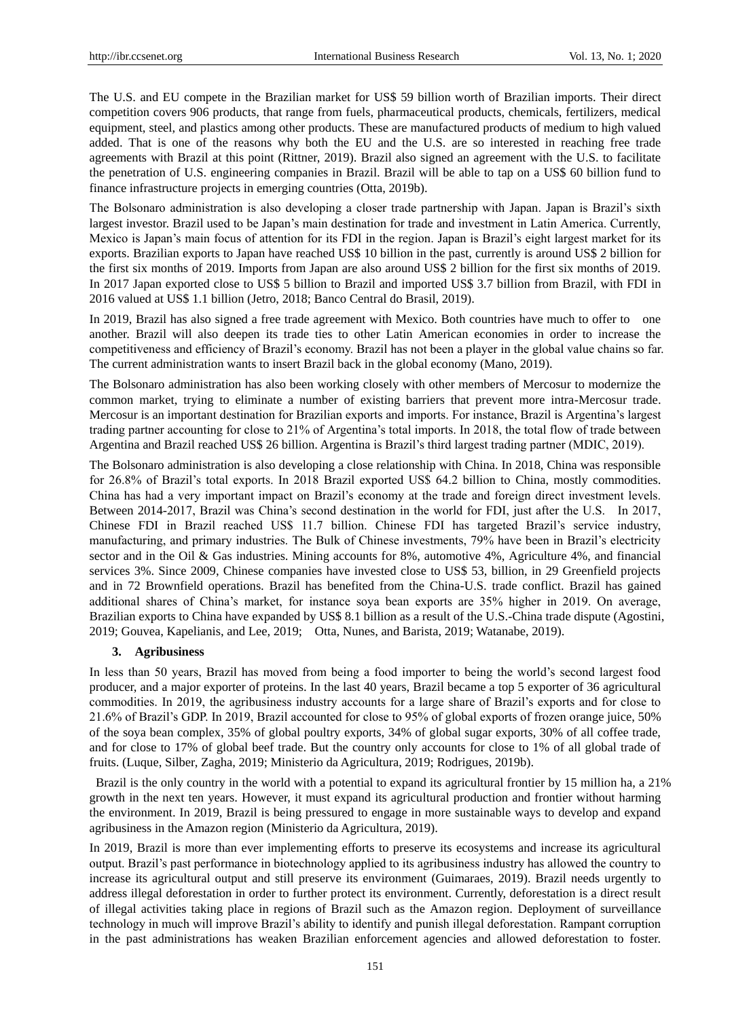The U.S. and EU compete in the Brazilian market for US\$ 59 billion worth of Brazilian imports. Their direct competition covers 906 products, that range from fuels, pharmaceutical products, chemicals, fertilizers, medical equipment, steel, and plastics among other products. These are manufactured products of medium to high valued added. That is one of the reasons why both the EU and the U.S. are so interested in reaching free trade agreements with Brazil at this point (Rittner, 2019). Brazil also signed an agreement with the U.S. to facilitate the penetration of U.S. engineering companies in Brazil. Brazil will be able to tap on a US\$ 60 billion fund to finance infrastructure projects in emerging countries (Otta, 2019b).

The Bolsonaro administration is also developing a closer trade partnership with Japan. Japan is Brazil's sixth largest investor. Brazil used to be Japan's main destination for trade and investment in Latin America. Currently, Mexico is Japan's main focus of attention for its FDI in the region. Japan is Brazil's eight largest market for its exports. Brazilian exports to Japan have reached US\$ 10 billion in the past, currently is around US\$ 2 billion for the first six months of 2019. Imports from Japan are also around US\$ 2 billion for the first six months of 2019. In 2017 Japan exported close to US\$ 5 billion to Brazil and imported US\$ 3.7 billion from Brazil, with FDI in 2016 valued at US\$ 1.1 billion (Jetro, 2018; Banco Central do Brasil, 2019).

In 2019, Brazil has also signed a free trade agreement with Mexico. Both countries have much to offer to one another. Brazil will also deepen its trade ties to other Latin American economies in order to increase the competitiveness and efficiency of Brazil's economy. Brazil has not been a player in the global value chains so far. The current administration wants to insert Brazil back in the global economy (Mano, 2019).

The Bolsonaro administration has also been working closely with other members of Mercosur to modernize the common market, trying to eliminate a number of existing barriers that prevent more intra-Mercosur trade. Mercosur is an important destination for Brazilian exports and imports. For instance, Brazil is Argentina's largest trading partner accounting for close to 21% of Argentina's total imports. In 2018, the total flow of trade between Argentina and Brazil reached US\$ 26 billion. Argentina is Brazil's third largest trading partner (MDIC, 2019).

The Bolsonaro administration is also developing a close relationship with China. In 2018, China was responsible for 26.8% of Brazil's total exports. In 2018 Brazil exported US\$ 64.2 billion to China, mostly commodities. China has had a very important impact on Brazil's economy at the trade and foreign direct investment levels. Between 2014-2017, Brazil was China's second destination in the world for FDI, just after the U.S. In 2017, Chinese FDI in Brazil reached US\$ 11.7 billion. Chinese FDI has targeted Brazil's service industry, manufacturing, and primary industries. The Bulk of Chinese investments, 79% have been in Brazil's electricity sector and in the Oil & Gas industries. Mining accounts for 8%, automotive 4%, Agriculture 4%, and financial services 3%. Since 2009, Chinese companies have invested close to US\$ 53, billion, in 29 Greenfield projects and in 72 Brownfield operations. Brazil has benefited from the China-U.S. trade conflict. Brazil has gained additional shares of China's market, for instance soya bean exports are 35% higher in 2019. On average, Brazilian exports to China have expanded by US\$ 8.1 billion as a result of the U.S.-China trade dispute (Agostini, 2019; Gouvea, Kapelianis, and Lee, 2019; Otta, Nunes, and Barista, 2019; Watanabe, 2019).

#### **3. Agribusiness**

In less than 50 years, Brazil has moved from being a food importer to being the world's second largest food producer, and a major exporter of proteins. In the last 40 years, Brazil became a top 5 exporter of 36 agricultural commodities. In 2019, the agribusiness industry accounts for a large share of Brazil's exports and for close to 21.6% of Brazil's GDP. In 2019, Brazil accounted for close to 95% of global exports of frozen orange juice, 50% of the soya bean complex, 35% of global poultry exports, 34% of global sugar exports, 30% of all coffee trade, and for close to 17% of global beef trade. But the country only accounts for close to 1% of all global trade of fruits. (Luque, Silber, Zagha, 2019; Ministerio da Agricultura, 2019; Rodrigues, 2019b).

Brazil is the only country in the world with a potential to expand its agricultural frontier by 15 million ha, a 21% growth in the next ten years. However, it must expand its agricultural production and frontier without harming the environment. In 2019, Brazil is being pressured to engage in more sustainable ways to develop and expand agribusiness in the Amazon region (Ministerio da Agricultura, 2019).

In 2019, Brazil is more than ever implementing efforts to preserve its ecosystems and increase its agricultural output. Brazil's past performance in biotechnology applied to its agribusiness industry has allowed the country to increase its agricultural output and still preserve its environment (Guimaraes, 2019). Brazil needs urgently to address illegal deforestation in order to further protect its environment. Currently, deforestation is a direct result of illegal activities taking place in regions of Brazil such as the Amazon region. Deployment of surveillance technology in much will improve Brazil's ability to identify and punish illegal deforestation. Rampant corruption in the past administrations has weaken Brazilian enforcement agencies and allowed deforestation to foster.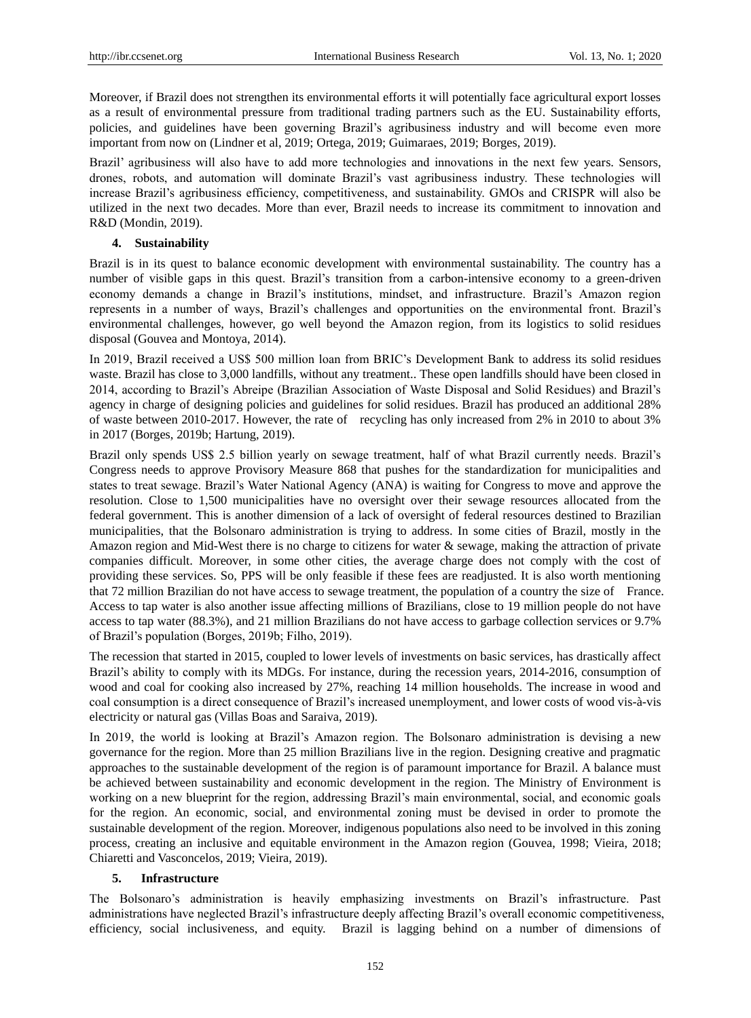Moreover, if Brazil does not strengthen its environmental efforts it will potentially face agricultural export losses as a result of environmental pressure from traditional trading partners such as the EU. Sustainability efforts, policies, and guidelines have been governing Brazil's agribusiness industry and will become even more important from now on (Lindner et al, 2019; Ortega, 2019; Guimaraes, 2019; Borges, 2019).

Brazil' agribusiness will also have to add more technologies and innovations in the next few years. Sensors, drones, robots, and automation will dominate Brazil's vast agribusiness industry. These technologies will increase Brazil's agribusiness efficiency, competitiveness, and sustainability. GMOs and CRISPR will also be utilized in the next two decades. More than ever, Brazil needs to increase its commitment to innovation and R&D (Mondin, 2019).

#### **4. Sustainability**

Brazil is in its quest to balance economic development with environmental sustainability. The country has a number of visible gaps in this quest. Brazil's transition from a carbon-intensive economy to a green-driven economy demands a change in Brazil's institutions, mindset, and infrastructure. Brazil's Amazon region represents in a number of ways, Brazil's challenges and opportunities on the environmental front. Brazil's environmental challenges, however, go well beyond the Amazon region, from its logistics to solid residues disposal (Gouvea and Montoya, 2014).

In 2019, Brazil received a US\$ 500 million loan from BRIC's Development Bank to address its solid residues waste. Brazil has close to 3,000 landfills, without any treatment.. These open landfills should have been closed in 2014, according to Brazil's Abreipe (Brazilian Association of Waste Disposal and Solid Residues) and Brazil's agency in charge of designing policies and guidelines for solid residues. Brazil has produced an additional 28% of waste between 2010-2017. However, the rate of recycling has only increased from 2% in 2010 to about 3% in 2017 (Borges, 2019b; Hartung, 2019).

Brazil only spends US\$ 2.5 billion yearly on sewage treatment, half of what Brazil currently needs. Brazil's Congress needs to approve Provisory Measure 868 that pushes for the standardization for municipalities and states to treat sewage. Brazil's Water National Agency (ANA) is waiting for Congress to move and approve the resolution. Close to 1,500 municipalities have no oversight over their sewage resources allocated from the federal government. This is another dimension of a lack of oversight of federal resources destined to Brazilian municipalities, that the Bolsonaro administration is trying to address. In some cities of Brazil, mostly in the Amazon region and Mid-West there is no charge to citizens for water & sewage, making the attraction of private companies difficult. Moreover, in some other cities, the average charge does not comply with the cost of providing these services. So, PPS will be only feasible if these fees are readjusted. It is also worth mentioning that 72 million Brazilian do not have access to sewage treatment, the population of a country the size of France. Access to tap water is also another issue affecting millions of Brazilians, close to 19 million people do not have access to tap water (88.3%), and 21 million Brazilians do not have access to garbage collection services or 9.7% of Brazil's population (Borges, 2019b; Filho, 2019).

The recession that started in 2015, coupled to lower levels of investments on basic services, has drastically affect Brazil's ability to comply with its MDGs. For instance, during the recession years, 2014-2016, consumption of wood and coal for cooking also increased by 27%, reaching 14 million households. The increase in wood and coal consumption is a direct consequence of Brazil's increased unemployment, and lower costs of wood vis-à-vis electricity or natural gas (Villas Boas and Saraiva, 2019).

In 2019, the world is looking at Brazil's Amazon region. The Bolsonaro administration is devising a new governance for the region. More than 25 million Brazilians live in the region. Designing creative and pragmatic approaches to the sustainable development of the region is of paramount importance for Brazil. A balance must be achieved between sustainability and economic development in the region. The Ministry of Environment is working on a new blueprint for the region, addressing Brazil's main environmental, social, and economic goals for the region. An economic, social, and environmental zoning must be devised in order to promote the sustainable development of the region. Moreover, indigenous populations also need to be involved in this zoning process, creating an inclusive and equitable environment in the Amazon region (Gouvea, 1998; Vieira, 2018; Chiaretti and Vasconcelos, 2019; Vieira, 2019).

#### **5. Infrastructure**

The Bolsonaro's administration is heavily emphasizing investments on Brazil's infrastructure. Past administrations have neglected Brazil's infrastructure deeply affecting Brazil's overall economic competitiveness, efficiency, social inclusiveness, and equity. Brazil is lagging behind on a number of dimensions of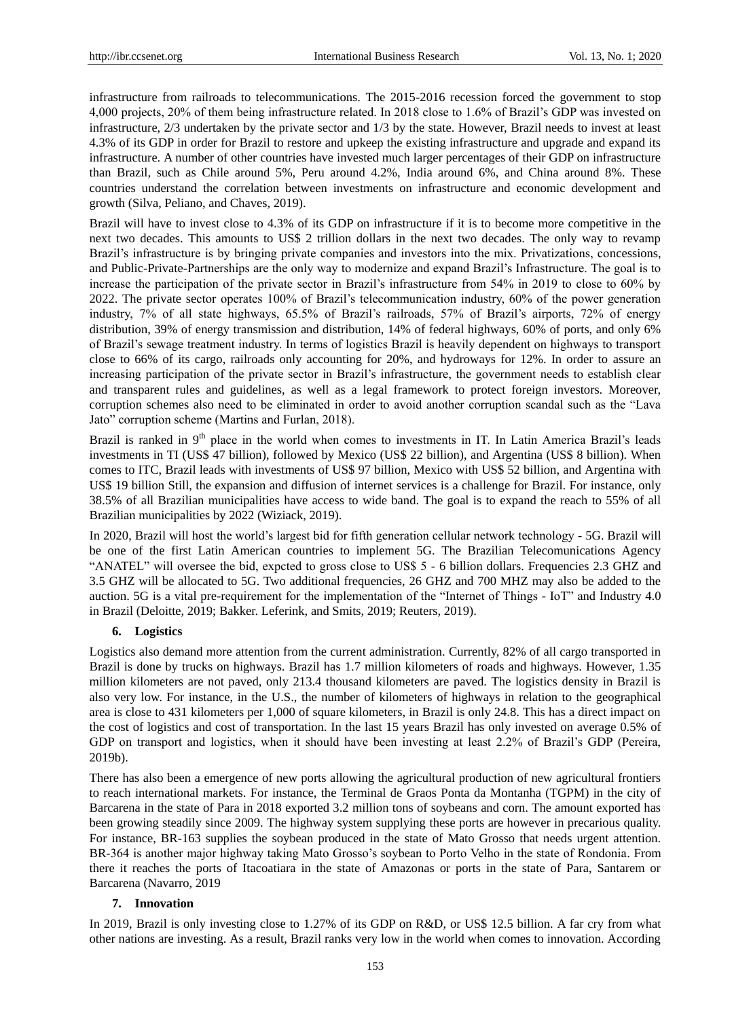infrastructure from railroads to telecommunications. The 2015-2016 recession forced the government to stop 4,000 projects, 20% of them being infrastructure related. In 2018 close to 1.6% of Brazil's GDP was invested on infrastructure, 2/3 undertaken by the private sector and 1/3 by the state. However, Brazil needs to invest at least 4.3% of its GDP in order for Brazil to restore and upkeep the existing infrastructure and upgrade and expand its infrastructure. A number of other countries have invested much larger percentages of their GDP on infrastructure than Brazil, such as Chile around 5%, Peru around 4.2%, India around 6%, and China around 8%. These countries understand the correlation between investments on infrastructure and economic development and growth (Silva, Peliano, and Chaves, 2019).

Brazil will have to invest close to 4.3% of its GDP on infrastructure if it is to become more competitive in the next two decades. This amounts to US\$ 2 trillion dollars in the next two decades. The only way to revamp Brazil's infrastructure is by bringing private companies and investors into the mix. Privatizations, concessions, and Public-Private-Partnerships are the only way to modernize and expand Brazil's Infrastructure. The goal is to increase the participation of the private sector in Brazil's infrastructure from 54% in 2019 to close to 60% by 2022. The private sector operates 100% of Brazil's telecommunication industry, 60% of the power generation industry, 7% of all state highways, 65.5% of Brazil's railroads, 57% of Brazil's airports, 72% of energy distribution, 39% of energy transmission and distribution, 14% of federal highways, 60% of ports, and only 6% of Brazil's sewage treatment industry. In terms of logistics Brazil is heavily dependent on highways to transport close to 66% of its cargo, railroads only accounting for 20%, and hydroways for 12%. In order to assure an increasing participation of the private sector in Brazil's infrastructure, the government needs to establish clear and transparent rules and guidelines, as well as a legal framework to protect foreign investors. Moreover, corruption schemes also need to be eliminated in order to avoid another corruption scandal such as the "Lava Jato" corruption scheme (Martins and Furlan, 2018).

Brazil is ranked in  $9<sup>th</sup>$  place in the world when comes to investments in IT. In Latin America Brazil's leads investments in TI (US\$ 47 billion), followed by Mexico (US\$ 22 billion), and Argentina (US\$ 8 billion). When comes to ITC, Brazil leads with investments of US\$ 97 billion, Mexico with US\$ 52 billion, and Argentina with US\$ 19 billion Still, the expansion and diffusion of internet services is a challenge for Brazil. For instance, only 38.5% of all Brazilian municipalities have access to wide band. The goal is to expand the reach to 55% of all Brazilian municipalities by 2022 (Wiziack, 2019).

In 2020, Brazil will host the world's largest bid for fifth generation cellular network technology - 5G. Brazil will be one of the first Latin American countries to implement 5G. The Brazilian Telecomunications Agency "ANATEL" will oversee the bid, expcted to gross close to US\$ 5 - 6 billion dollars. Frequencies 2.3 GHZ and 3.5 GHZ will be allocated to 5G. Two additional frequencies, 26 GHZ and 700 MHZ may also be added to the auction. 5G is a vital pre-requirement for the implementation of the "Internet of Things - IoT" and Industry 4.0 in Brazil (Deloitte, 2019; Bakker. Leferink, and Smits, 2019; Reuters, 2019).

## **6. Logistics**

Logistics also demand more attention from the current administration. Currently, 82% of all cargo transported in Brazil is done by trucks on highways. Brazil has 1.7 million kilometers of roads and highways. However, 1.35 million kilometers are not paved, only 213.4 thousand kilometers are paved. The logistics density in Brazil is also very low. For instance, in the U.S., the number of kilometers of highways in relation to the geographical area is close to 431 kilometers per 1,000 of square kilometers, in Brazil is only 24.8. This has a direct impact on the cost of logistics and cost of transportation. In the last 15 years Brazil has only invested on average 0.5% of GDP on transport and logistics, when it should have been investing at least 2.2% of Brazil's GDP (Pereira, 2019b).

There has also been a emergence of new ports allowing the agricultural production of new agricultural frontiers to reach international markets. For instance, the Terminal de Graos Ponta da Montanha (TGPM) in the city of Barcarena in the state of Para in 2018 exported 3.2 million tons of soybeans and corn. The amount exported has been growing steadily since 2009. The highway system supplying these ports are however in precarious quality. For instance, BR-163 supplies the soybean produced in the state of Mato Grosso that needs urgent attention. BR-364 is another major highway taking Mato Grosso's soybean to Porto Velho in the state of Rondonia. From there it reaches the ports of Itacoatiara in the state of Amazonas or ports in the state of Para, Santarem or Barcarena (Navarro, 2019

#### **7. Innovation**

In 2019, Brazil is only investing close to 1.27% of its GDP on R&D, or US\$ 12.5 billion. A far cry from what other nations are investing. As a result, Brazil ranks very low in the world when comes to innovation. According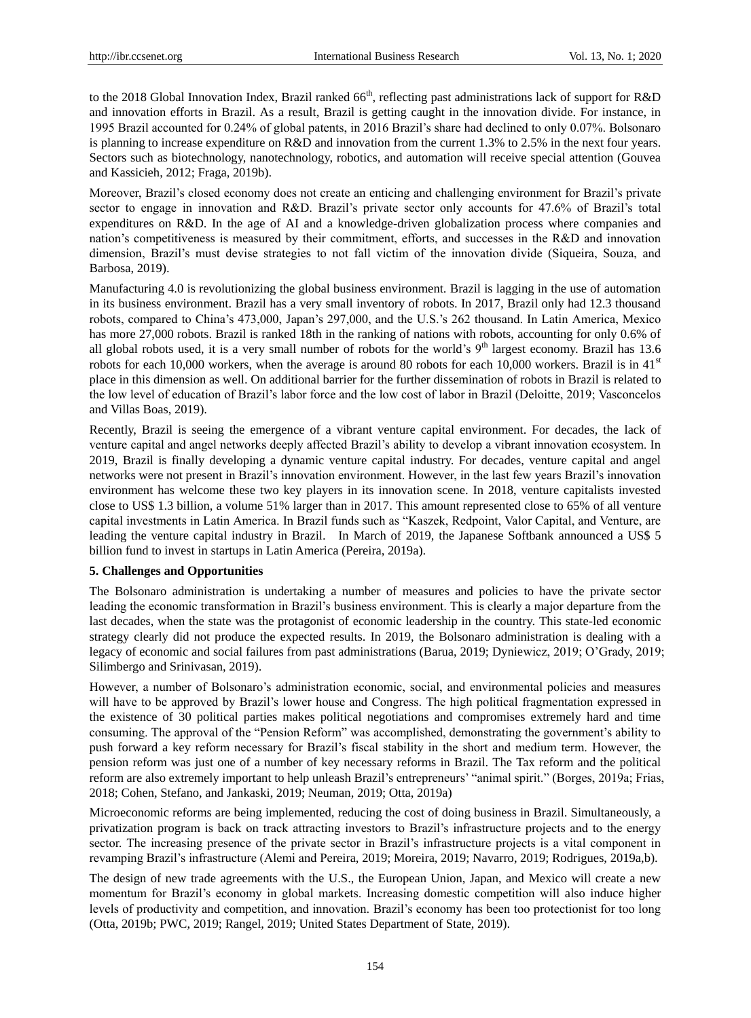to the 2018 Global Innovation Index, Brazil ranked  $66<sup>th</sup>$ , reflecting past administrations lack of support for R&D and innovation efforts in Brazil. As a result, Brazil is getting caught in the innovation divide. For instance, in 1995 Brazil accounted for 0.24% of global patents, in 2016 Brazil's share had declined to only 0.07%. Bolsonaro is planning to increase expenditure on R&D and innovation from the current 1.3% to 2.5% in the next four years. Sectors such as biotechnology, nanotechnology, robotics, and automation will receive special attention (Gouvea and Kassicieh, 2012; Fraga, 2019b).

Moreover, Brazil's closed economy does not create an enticing and challenging environment for Brazil's private sector to engage in innovation and R&D. Brazil's private sector only accounts for 47.6% of Brazil's total expenditures on R&D. In the age of AI and a knowledge-driven globalization process where companies and nation's competitiveness is measured by their commitment, efforts, and successes in the R&D and innovation dimension, Brazil's must devise strategies to not fall victim of the innovation divide (Siqueira, Souza, and Barbosa, 2019).

Manufacturing 4.0 is revolutionizing the global business environment. Brazil is lagging in the use of automation in its business environment. Brazil has a very small inventory of robots. In 2017, Brazil only had 12.3 thousand robots, compared to China's 473,000, Japan's 297,000, and the U.S.'s 262 thousand. In Latin America, Mexico has more 27,000 robots. Brazil is ranked 18th in the ranking of nations with robots, accounting for only 0.6% of all global robots used, it is a very small number of robots for the world's  $9<sup>th</sup>$  largest economy. Brazil has 13.6 robots for each 10,000 workers, when the average is around 80 robots for each 10,000 workers. Brazil is in  $41<sup>st</sup>$ place in this dimension as well. On additional barrier for the further dissemination of robots in Brazil is related to the low level of education of Brazil's labor force and the low cost of labor in Brazil (Deloitte, 2019; Vasconcelos and Villas Boas, 2019).

Recently, Brazil is seeing the emergence of a vibrant venture capital environment. For decades, the lack of venture capital and angel networks deeply affected Brazil's ability to develop a vibrant innovation ecosystem. In 2019, Brazil is finally developing a dynamic venture capital industry. For decades, venture capital and angel networks were not present in Brazil's innovation environment. However, in the last few years Brazil's innovation environment has welcome these two key players in its innovation scene. In 2018, venture capitalists invested close to US\$ 1.3 billion, a volume 51% larger than in 2017. This amount represented close to 65% of all venture capital investments in Latin America. In Brazil funds such as "Kaszek, Redpoint, Valor Capital, and Venture, are leading the venture capital industry in Brazil. In March of 2019, the Japanese Softbank announced a US\$ 5 billion fund to invest in startups in Latin America (Pereira, 2019a).

## **5. Challenges and Opportunities**

The Bolsonaro administration is undertaking a number of measures and policies to have the private sector leading the economic transformation in Brazil's business environment. This is clearly a major departure from the last decades, when the state was the protagonist of economic leadership in the country. This state-led economic strategy clearly did not produce the expected results. In 2019, the Bolsonaro administration is dealing with a legacy of economic and social failures from past administrations (Barua, 2019; Dyniewicz, 2019; O'Grady, 2019; Silimbergo and Srinivasan, 2019).

However, a number of Bolsonaro's administration economic, social, and environmental policies and measures will have to be approved by Brazil's lower house and Congress. The high political fragmentation expressed in the existence of 30 political parties makes political negotiations and compromises extremely hard and time consuming. The approval of the "Pension Reform" was accomplished, demonstrating the government's ability to push forward a key reform necessary for Brazil's fiscal stability in the short and medium term. However, the pension reform was just one of a number of key necessary reforms in Brazil. The Tax reform and the political reform are also extremely important to help unleash Brazil's entrepreneurs' "animal spirit." (Borges, 2019a; Frias, 2018; Cohen, Stefano, and Jankaski, 2019; Neuman, 2019; Otta, 2019a)

Microeconomic reforms are being implemented, reducing the cost of doing business in Brazil. Simultaneously, a privatization program is back on track attracting investors to Brazil's infrastructure projects and to the energy sector. The increasing presence of the private sector in Brazil's infrastructure projects is a vital component in revamping Brazil's infrastructure (Alemi and Pereira, 2019; Moreira, 2019; Navarro, 2019; Rodrigues, 2019a,b).

The design of new trade agreements with the U.S., the European Union, Japan, and Mexico will create a new momentum for Brazil's economy in global markets. Increasing domestic competition will also induce higher levels of productivity and competition, and innovation. Brazil's economy has been too protectionist for too long (Otta, 2019b; PWC, 2019; Rangel, 2019; United States Department of State, 2019).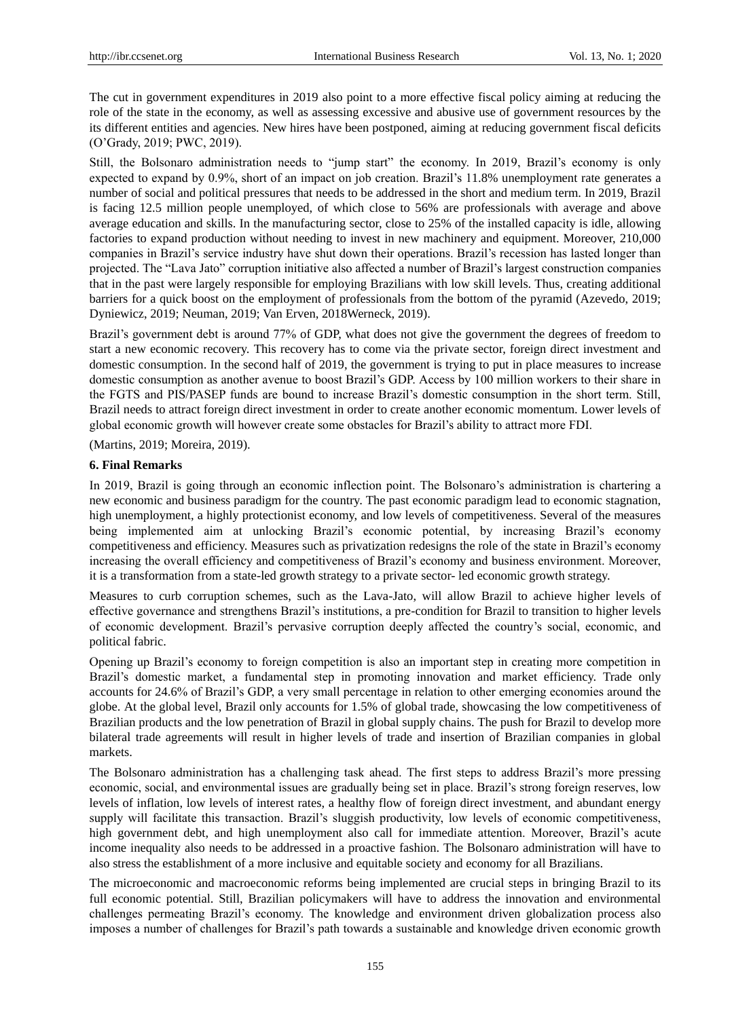The cut in government expenditures in 2019 also point to a more effective fiscal policy aiming at reducing the role of the state in the economy, as well as assessing excessive and abusive use of government resources by the its different entities and agencies. New hires have been postponed, aiming at reducing government fiscal deficits (O'Grady, 2019; PWC, 2019).

Still, the Bolsonaro administration needs to "jump start" the economy. In 2019, Brazil's economy is only expected to expand by 0.9%, short of an impact on job creation. Brazil's 11.8% unemployment rate generates a number of social and political pressures that needs to be addressed in the short and medium term. In 2019, Brazil is facing 12.5 million people unemployed, of which close to 56% are professionals with average and above average education and skills. In the manufacturing sector, close to 25% of the installed capacity is idle, allowing factories to expand production without needing to invest in new machinery and equipment. Moreover, 210,000 companies in Brazil's service industry have shut down their operations. Brazil's recession has lasted longer than projected. The "Lava Jato" corruption initiative also affected a number of Brazil's largest construction companies that in the past were largely responsible for employing Brazilians with low skill levels. Thus, creating additional barriers for a quick boost on the employment of professionals from the bottom of the pyramid (Azevedo, 2019; Dyniewicz, 2019; Neuman, 2019; Van Erven, 2018Werneck, 2019).

Brazil's government debt is around 77% of GDP, what does not give the government the degrees of freedom to start a new economic recovery. This recovery has to come via the private sector, foreign direct investment and domestic consumption. In the second half of 2019, the government is trying to put in place measures to increase domestic consumption as another avenue to boost Brazil's GDP. Access by 100 million workers to their share in the FGTS and PIS/PASEP funds are bound to increase Brazil's domestic consumption in the short term. Still, Brazil needs to attract foreign direct investment in order to create another economic momentum. Lower levels of global economic growth will however create some obstacles for Brazil's ability to attract more FDI.

(Martins, 2019; Moreira, 2019).

## **6. Final Remarks**

In 2019, Brazil is going through an economic inflection point. The Bolsonaro's administration is chartering a new economic and business paradigm for the country. The past economic paradigm lead to economic stagnation, high unemployment, a highly protectionist economy, and low levels of competitiveness. Several of the measures being implemented aim at unlocking Brazil's economic potential, by increasing Brazil's economy competitiveness and efficiency. Measures such as privatization redesigns the role of the state in Brazil's economy increasing the overall efficiency and competitiveness of Brazil's economy and business environment. Moreover, it is a transformation from a state-led growth strategy to a private sector- led economic growth strategy.

Measures to curb corruption schemes, such as the Lava-Jato, will allow Brazil to achieve higher levels of effective governance and strengthens Brazil's institutions, a pre-condition for Brazil to transition to higher levels of economic development. Brazil's pervasive corruption deeply affected the country's social, economic, and political fabric.

Opening up Brazil's economy to foreign competition is also an important step in creating more competition in Brazil's domestic market, a fundamental step in promoting innovation and market efficiency. Trade only accounts for 24.6% of Brazil's GDP, a very small percentage in relation to other emerging economies around the globe. At the global level, Brazil only accounts for 1.5% of global trade, showcasing the low competitiveness of Brazilian products and the low penetration of Brazil in global supply chains. The push for Brazil to develop more bilateral trade agreements will result in higher levels of trade and insertion of Brazilian companies in global markets.

The Bolsonaro administration has a challenging task ahead. The first steps to address Brazil's more pressing economic, social, and environmental issues are gradually being set in place. Brazil's strong foreign reserves, low levels of inflation, low levels of interest rates, a healthy flow of foreign direct investment, and abundant energy supply will facilitate this transaction. Brazil's sluggish productivity, low levels of economic competitiveness, high government debt, and high unemployment also call for immediate attention. Moreover, Brazil's acute income inequality also needs to be addressed in a proactive fashion. The Bolsonaro administration will have to also stress the establishment of a more inclusive and equitable society and economy for all Brazilians.

The microeconomic and macroeconomic reforms being implemented are crucial steps in bringing Brazil to its full economic potential. Still, Brazilian policymakers will have to address the innovation and environmental challenges permeating Brazil's economy. The knowledge and environment driven globalization process also imposes a number of challenges for Brazil's path towards a sustainable and knowledge driven economic growth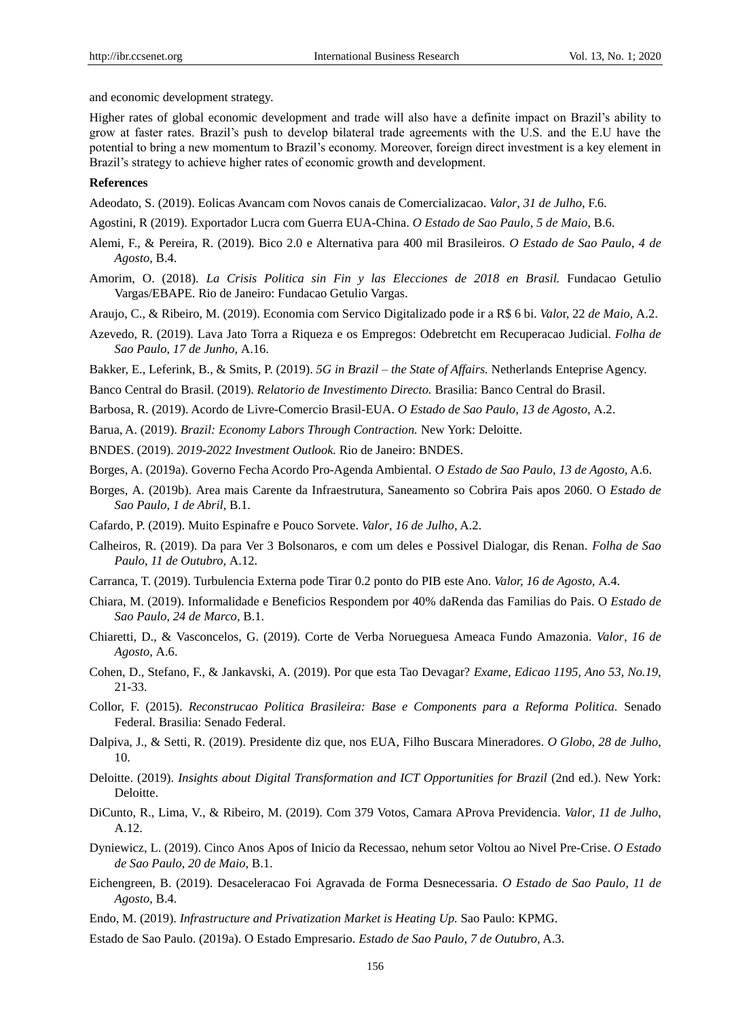and economic development strategy.

Higher rates of global economic development and trade will also have a definite impact on Brazil's ability to grow at faster rates. Brazil's push to develop bilateral trade agreements with the U.S. and the E.U have the potential to bring a new momentum to Brazil's economy. Moreover, foreign direct investment is a key element in Brazil's strategy to achieve higher rates of economic growth and development.

#### **References**

Adeodato, S. (2019). Eolicas Avancam com Novos canais de Comercializacao. *Valor*, *31 de Julho,* F.6.

Agostini, R (2019). Exportador Lucra com Guerra EUA-China. *O Estado de Sao Paulo*, *5 de Maio,* B.6.

- Alemi, F., & Pereira, R. (2019). Bico 2.0 e Alternativa para 400 mil Brasileiros. *O Estado de Sao Paulo*, *4 de Agosto,* B.4.
- Amorim, O. (2018). *La Crisis Politica sin Fin y las Elecciones de 2018 en Brasil.* Fundacao Getulio Vargas/EBAPE. Rio de Janeiro: Fundacao Getulio Vargas.
- Araujo, C., & Ribeiro, M. (2019). Economia com Servico Digitalizado pode ir a R\$ 6 bi. *Valo*r, 22 *de Maio,* A.2.
- Azevedo, R. (2019). Lava Jato Torra a Riqueza e os Empregos: Odebretcht em Recuperacao Judicial. *Folha de Sao Paulo*, *17 de Junho,* A.16.

Bakker, E., Leferink, B., & Smits, P. (2019). *5G in Brazil – the State of Affairs.* Netherlands Enteprise Agency.

- Banco Central do Brasil. (2019). *Relatorio de Investimento Directo.* Brasilia: Banco Central do Brasil.
- Barbosa, R. (2019). Acordo de Livre-Comercio Brasil-EUA. *O Estado de Sao Paulo, 13 de Agosto,* A.2.
- Barua, A. (2019). *Brazil: Economy Labors Through Contraction.* New York: Deloitte.

BNDES. (2019). *2019-2022 Investment Outlook.* Rio de Janeiro: BNDES.

Borges, A. (2019a). Governo Fecha Acordo Pro-Agenda Ambiental. *O Estado de Sao Paulo*, *13 de Agosto,* A.6.

- Borges, A. (2019b). Area mais Carente da Infraestrutura, Saneamento so Cobrira Pais apos 2060. O *Estado de Sao Paulo*, *1 de Abril,* B.1.
- Cafardo, P. (2019). Muito Espinafre e Pouco Sorvete. *Valor*, *16 de Julho,* A.2.
- Calheiros, R. (2019). Da para Ver 3 Bolsonaros, e com um deles e Possivel Dialogar, dis Renan. *Folha de Sao Paulo*, *11 de Outubro,* A.12.
- Carranca, T. (2019). Turbulencia Externa pode Tirar 0.2 ponto do PIB este Ano. *Valor, 16 de Agosto,* A.4.
- Chiara, M. (2019). Informalidade e Beneficios Respondem por 40% daRenda das Familias do Pais. O *Estado de Sao Paulo*, *24 de Marco,* B.1.
- Chiaretti, D., & Vasconcelos, G. (2019). Corte de Verba Norueguesa Ameaca Fundo Amazonia. *Valor*, *16 de Agosto,* A.6.
- Cohen, D., Stefano, F., & Jankavski, A. (2019). Por que esta Tao Devagar? *Exame*, *Edicao 1195, Ano 53, No.19,*  21-33.
- Collor, F. (2015). *Reconstrucao Politica Brasileira: Base e Components para a Reforma Politica.* Senado Federal. Brasilia: Senado Federal.
- Dalpiva, J., & Setti, R. (2019). Presidente diz que, nos EUA, Filho Buscara Mineradores. *O Globo*, *28 de Julho,*  10.
- Deloitte. (2019). *Insights about Digital Transformation and ICT Opportunities for Brazil* (2nd ed.). New York: Deloitte.
- DiCunto, R., Lima, V., & Ribeiro, M. (2019). Com 379 Votos, Camara AProva Previdencia. *Valor*, *11 de Julho,*  A.12.
- Dyniewicz, L. (2019). Cinco Anos Apos of Inicio da Recessao, nehum setor Voltou ao Nivel Pre-Crise. *O Estado de Sao Paulo, 20 de Maio,* B.1.
- Eichengreen, B. (2019). Desaceleracao Foi Agravada de Forma Desnecessaria. *O Estado de Sao Paulo*, *11 de Agosto,* B.4.
- Endo, M. (2019). *Infrastructure and Privatization Market is Heating Up.* Sao Paulo: KPMG.

Estado de Sao Paulo. (2019a). O Estado Empresario. *Estado de Sao Paulo*, *7 de Outubro,* A.3.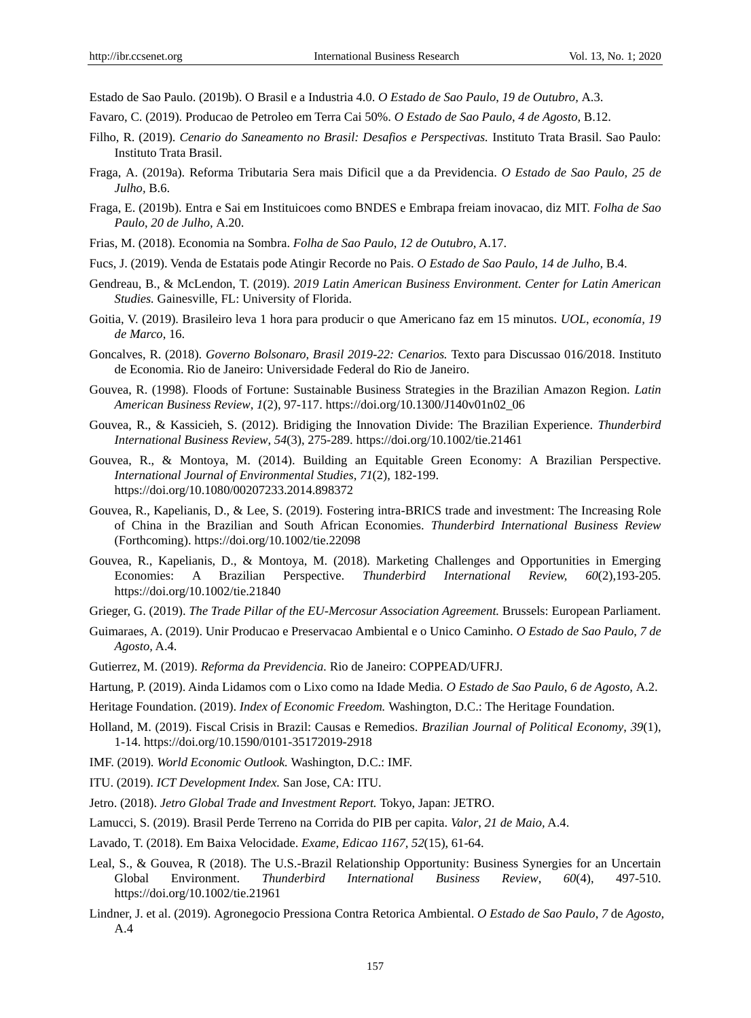Estado de Sao Paulo. (2019b). O Brasil e a Industria 4.0. *O Estado de Sao Paulo*, *19 de Outubro,* A.3.

- Favaro, C. (2019). Producao de Petroleo em Terra Cai 50%. *O Estado de Sao Paulo*, *4 de Agosto,* B.12.
- Filho, R. (2019). *Cenario do Saneamento no Brasil: Desafios e Perspectivas.* Instituto Trata Brasil. Sao Paulo: Instituto Trata Brasil.
- Fraga, A. (2019a). Reforma Tributaria Sera mais Dificil que a da Previdencia. *O Estado de Sao Paulo, 25 de Julho,* B.6.
- Fraga, E. (2019b). Entra e Sai em Instituicoes como BNDES e Embrapa freiam inovacao, diz MIT. *Folha de Sao Paulo*, *20 de Julho,* A.20.
- Frias, M. (2018). Economia na Sombra. *Folha de Sao Paulo*, *12 de Outubro,* A.17.
- Fucs, J. (2019). Venda de Estatais pode Atingir Recorde no Pais. *O Estado de Sao Paulo*, *14 de Julho,* B.4.
- Gendreau, B., & McLendon, T. (2019). *2019 Latin American Business Environment. Center for Latin American Studies.* Gainesville, FL: University of Florida.
- Goitia, V. (2019). Brasileiro leva 1 hora para producir o que Americano faz em 15 minutos. *UOL*, *economía, 19 de Marco*, 16.
- Goncalves, R. (2018). *Governo Bolsonaro, Brasil 2019-22: Cenarios.* Texto para Discussao 016/2018. Instituto de Economia. Rio de Janeiro: Universidade Federal do Rio de Janeiro.
- Gouvea, R. (1998). Floods of Fortune: Sustainable Business Strategies in the Brazilian Amazon Region. *Latin American Business Review*, *1*(2), 97-117. https://doi.org/10.1300/J140v01n02\_06
- Gouvea, R., & Kassicieh, S. (2012). Bridiging the Innovation Divide: The Brazilian Experience. *Thunderbird International Business Review*, *54*(3), 275-289. https://doi.org/10.1002/tie.21461
- Gouvea, R., & Montoya, M. (2014). Building an Equitable Green Economy: A Brazilian Perspective. *International Journal of Environmental Studies*, *71*(2), 182-199. https://doi.org/10.1080/00207233.2014.898372
- Gouvea, R., Kapelianis, D., & Lee, S. (2019). Fostering intra-BRICS trade and investment: The Increasing Role of China in the Brazilian and South African Economies. *Thunderbird International Business Review* (Forthcoming). https://doi.org/10.1002/tie.22098
- Gouvea, R., Kapelianis, D., & Montoya, M. (2018). Marketing Challenges and Opportunities in Emerging Economies: A Brazilian Perspective. *Thunderbird International Review, 60*(2),193-205. https://doi.org/10.1002/tie.21840
- Grieger, G. (2019). *The Trade Pillar of the EU-Mercosur Association Agreement.* Brussels: European Parliament.
- Guimaraes, A. (2019). Unir Producao e Preservacao Ambiental e o Unico Caminho. *O Estado de Sao Paulo*, *7 de Agosto,* A.4.
- Gutierrez, M. (2019). *Reforma da Previdencia.* Rio de Janeiro: COPPEAD/UFRJ.
- Hartung, P. (2019). Ainda Lidamos com o Lixo como na Idade Media. *O Estado de Sao Paulo*, *6 de Agosto,* A.2.
- Heritage Foundation. (2019). *Index of Economic Freedom.* Washington, D.C.: The Heritage Foundation.
- Holland, M. (2019). Fiscal Crisis in Brazil: Causas e Remedios. *Brazilian Journal of Political Economy*, *39*(1), 1-14. https://doi.org/10.1590/0101-35172019-2918
- IMF. (2019). *World Economic Outlook.* Washington, D.C.: IMF.
- ITU. (2019). *ICT Development Index.* San Jose, CA: ITU.
- Jetro. (2018). *Jetro Global Trade and Investment Report.* Tokyo, Japan: JETRO.
- Lamucci, S. (2019). Brasil Perde Terreno na Corrida do PIB per capita. *Valor*, *21 de Maio,* A.4.
- Lavado, T. (2018). Em Baixa Velocidade. *Exame, Edicao 1167, 52*(15), 61-64.
- Leal, S., & Gouvea, R (2018). The U.S.-Brazil Relationship Opportunity: Business Synergies for an Uncertain Global Environment. *Thunderbird International Business Review*, *60*(4), 497-510. https://doi.org/10.1002/tie.21961
- Lindner, J. et al. (2019). Agronegocio Pressiona Contra Retorica Ambiental. *O Estado de Sao Paulo*, *7* de *Agosto,*  A.4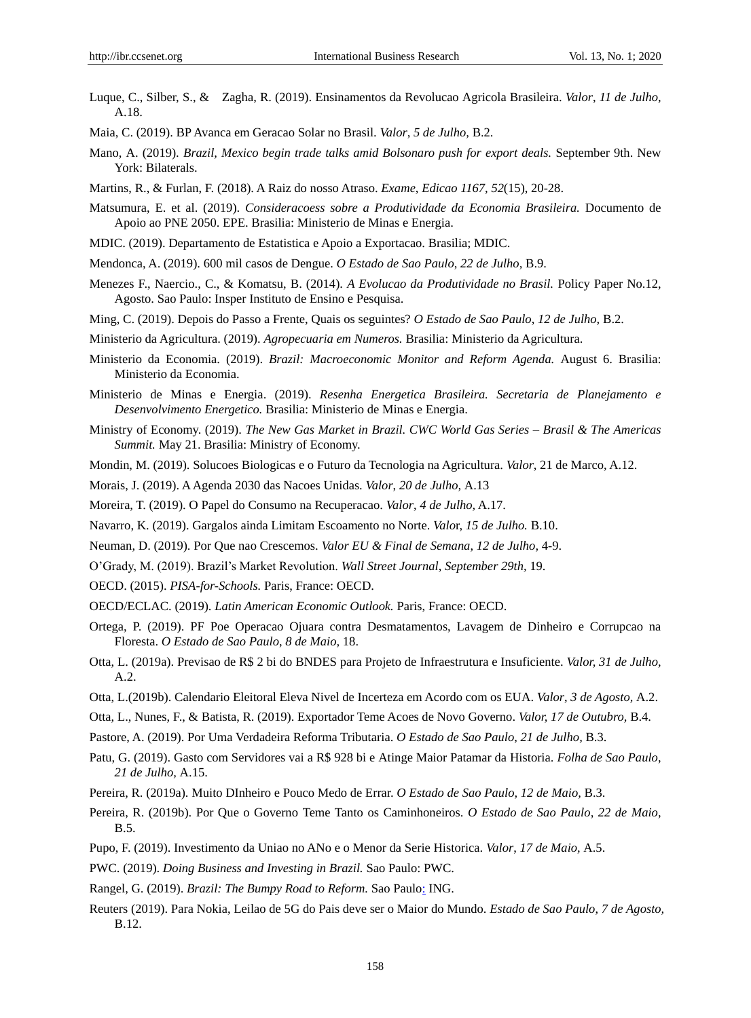- Luque, C., Silber, S., & Zagha, R. (2019). Ensinamentos da Revolucao Agricola Brasileira. *Valor*, *11 de Julho,*  A.18.
- Maia, C. (2019). BP Avanca em Geracao Solar no Brasil. *Valor*, *5 de Julho,* B.2.
- Mano, A. (2019). *Brazil, Mexico begin trade talks amid Bolsonaro push for export deals.* September 9th. New York: Bilaterals.
- Martins, R., & Furlan, F. (2018). A Raiz do nosso Atraso. *Exame*, *Edicao 1167, 52*(15), 20-28.
- Matsumura, E. et al. (2019). *Consideracoess sobre a Produtividade da Economia Brasileira.* Documento de Apoio ao PNE 2050. EPE. Brasilia: Ministerio de Minas e Energia.
- MDIC. (2019). Departamento de Estatistica e Apoio a Exportacao. Brasilia; MDIC.
- Mendonca, A. (2019). 600 mil casos de Dengue. *O Estado de Sao Paulo*, *22 de Julho,* B.9.
- Menezes F., Naercio., C., & Komatsu, B. (2014). *A Evolucao da Produtividade no Brasil.* Policy Paper No.12, Agosto. Sao Paulo: Insper Instituto de Ensino e Pesquisa.
- Ming, C. (2019). Depois do Passo a Frente, Quais os seguintes? *O Estado de Sao Paulo*, *12 de Julho,* B.2.
- Ministerio da Agricultura. (2019). *Agropecuaria em Numeros.* Brasilia: Ministerio da Agricultura.
- Ministerio da Economia. (2019). *Brazil: Macroeconomic Monitor and Reform Agenda.* August 6. Brasilia: Ministerio da Economia.
- Ministerio de Minas e Energia. (2019). *Resenha Energetica Brasileira. Secretaria de Planejamento e Desenvolvimento Energetico.* Brasilia: Ministerio de Minas e Energia.
- Ministry of Economy. (2019). *The New Gas Market in Brazil. CWC World Gas Series – Brasil & The Americas Summit.* May 21. Brasilia: Ministry of Economy.
- Mondin, M. (2019). Solucoes Biologicas e o Futuro da Tecnologia na Agricultura. *Valor*, 21 de Marco, A.12.
- Morais, J. (2019). AAgenda 2030 das Nacoes Unidas. *Valor*, *20 de Julho,* A.13
- Moreira, T. (2019). O Papel do Consumo na Recuperacao. *Valor*, *4 de Julho,* A.17.
- Navarro, K. (2019). Gargalos ainda Limitam Escoamento no Norte. *Valo*r, *15 de Julho.* B.10.
- Neuman, D. (2019). Por Que nao Crescemos. *Valor EU & Final de Semana*, *12 de Julho,* 4-9.
- O'Grady, M. (2019). Brazil's Market Revolution. *Wall Street Journal*, *September 29th,* 19.
- OECD. (2015). *PISA-for-Schools.* Paris, France: OECD.
- OECD/ECLAC. (2019). *Latin American Economic Outlook.* Paris, France: OECD.
- Ortega, P. (2019). PF Poe Operacao Ojuara contra Desmatamentos, Lavagem de Dinheiro e Corrupcao na Floresta. *O Estado de Sao Paulo*, *8 de Maio,* 18.
- Otta, L. (2019a). Previsao de R\$ 2 bi do BNDES para Projeto de Infraestrutura e Insuficiente. *Valor, 31 de Julho,*  A.2.
- Otta, L.(2019b). Calendario Eleitoral Eleva Nivel de Incerteza em Acordo com os EUA. *Valor*, *3 de Agosto,* A.2.
- Otta, L., Nunes, F., & Batista, R. (2019). Exportador Teme Acoes de Novo Governo. *Valor, 17 de Outubro,* B.4.
- Pastore, A. (2019). Por Uma Verdadeira Reforma Tributaria. *O Estado de Sao Paulo*, *21 de Julho,* B.3.
- Patu, G. (2019). Gasto com Servidores vai a R\$ 928 bi e Atinge Maior Patamar da Historia. *Folha de Sao Paulo*, *21 de Julho,* A.15.
- Pereira, R. (2019a). Muito DInheiro e Pouco Medo de Errar. *O Estado de Sao Paulo, 12 de Maio,* B.3.
- Pereira, R. (2019b). Por Que o Governo Teme Tanto os Caminhoneiros. *O Estado de Sao Paulo*, *22 de Maio,*  B.5.
- Pupo, F. (2019). Investimento da Uniao no ANo e o Menor da Serie Historica. *Valor*, *17 de Maio,* A.5.
- PWC. (2019). *Doing Business and Investing in Brazil.* Sao Paulo: PWC.
- Rangel, G. (2019). *Brazil: The Bumpy Road to Reform.* Sao Paul[o:](http://www.think.ing.com/) ING.
- Reuters (2019). Para Nokia, Leilao de 5G do Pais deve ser o Maior do Mundo. *Estado de Sao Paulo*, *7 de Agosto,*  B.12.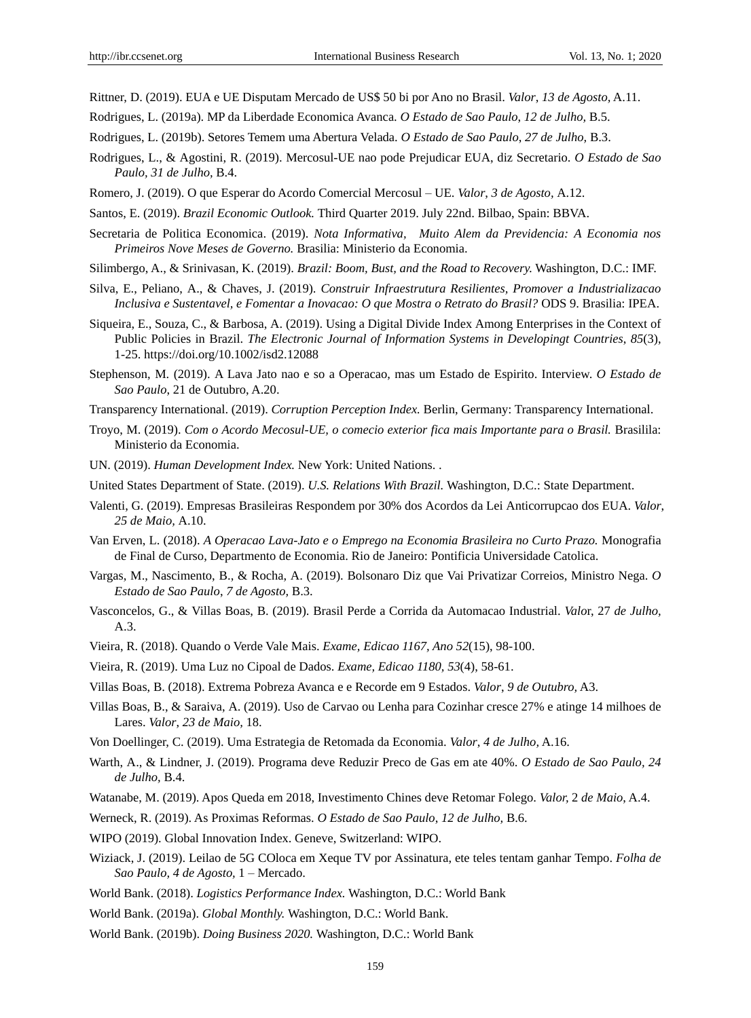Rittner, D. (2019). EUA e UE Disputam Mercado de US\$ 50 bi por Ano no Brasil. *Valor*, *13 de Agosto,* A.11.

- Rodrigues, L. (2019a). MP da Liberdade Economica Avanca. *O Estado de Sao Paulo*, *12 de Julho,* B.5.
- Rodrigues, L. (2019b). Setores Temem uma Abertura Velada. *O Estado de Sao Paulo*, *27 de Julho,* B.3.
- Rodrigues, L., & Agostini, R. (2019). Mercosul-UE nao pode Prejudicar EUA, diz Secretario. *O Estado de Sao Paulo, 31 de Julho,* B.4.
- Romero, J. (2019). O que Esperar do Acordo Comercial Mercosul UE. *Valor*, *3 de Agosto,* A.12.

Santos, E. (2019). *Brazil Economic Outlook.* Third Quarter 2019. July 22nd. Bilbao, Spain: BBVA.

- Secretaria de Politica Economica. (2019). *Nota Informativa, Muito Alem da Previdencia: A Economia nos Primeiros Nove Meses de Governo.* Brasilia: Ministerio da Economia.
- Silimbergo, A., & Srinivasan, K. (2019). *Brazil: Boom, Bust, and the Road to Recovery.* Washington, D.C.: IMF.
- Silva, E., Peliano, A., & Chaves, J. (2019). *Construir Infraestrutura Resilientes, Promover a Industrializacao Inclusiva e Sustentavel, e Fomentar a Inovacao: O que Mostra o Retrato do Brasil?* ODS 9. Brasilia: IPEA.
- Siqueira, E., Souza, C., & Barbosa, A. (2019). Using a Digital Divide Index Among Enterprises in the Context of Public Policies in Brazil. *The Electronic Journal of Information Systems in Developingt Countries*, *85*(3), 1-25. https://doi.org/10.1002/isd2.12088
- Stephenson, M. (2019). A Lava Jato nao e so a Operacao, mas um Estado de Espirito. Interview. *O Estado de Sao Paulo*, 21 de Outubro, A.20.
- Transparency International. (2019). *Corruption Perception Index.* Berlin, Germany: Transparency International.
- Troyo, M. (2019). *Com o Acordo Mecosul-UE, o comecio exterior fica mais Importante para o Brasil.* Brasilila: Ministerio da Economia.
- UN. (2019). *Human Development Index.* New York: United Nations. .
- United States Department of State. (2019). *U.S. Relations With Brazil.* Washington, D.C.: State Department.
- Valenti, G. (2019). Empresas Brasileiras Respondem por 30% dos Acordos da Lei Anticorrupcao dos EUA. *Valor*, *25 de Maio,* A.10.
- Van Erven, L. (2018). *A Operacao Lava-Jato e o Emprego na Economia Brasileira no Curto Prazo.* Monografia de Final de Curso, Departmento de Economia. Rio de Janeiro: Pontificia Universidade Catolica.
- Vargas, M., Nascimento, B., & Rocha, A. (2019). Bolsonaro Diz que Vai Privatizar Correios, Ministro Nega. *O Estado de Sao Paulo*, *7 de Agosto,* B.3.
- Vasconcelos, G., & Villas Boas, B. (2019). Brasil Perde a Corrida da Automacao Industrial. *Valo*r, 27 *de Julho,* A.3.
- Vieira, R. (2018). Quando o Verde Vale Mais. *Exame, Edicao 1167, Ano 52*(15), 98-100.
- Vieira, R. (2019). Uma Luz no Cipoal de Dados. *Exame, Edicao 1180, 53*(4), 58-61.
- Villas Boas, B. (2018). Extrema Pobreza Avanca e e Recorde em 9 Estados. *Valor*, *9 de Outubro,* A3.
- Villas Boas, B., & Saraiva, A. (2019). Uso de Carvao ou Lenha para Cozinhar cresce 27% e atinge 14 milhoes de Lares. *Valor*, *23 de Maio,* 18.
- Von Doellinger, C. (2019). Uma Estrategia de Retomada da Economia. *Valor*, *4 de Julho,* A.16.
- Warth, A., & Lindner, J. (2019). Programa deve Reduzir Preco de Gas em ate 40%. *O Estado de Sao Paulo, 24 de Julho,* B.4.
- Watanabe, M. (2019). Apos Queda em 2018, Investimento Chines deve Retomar Folego. *Valor,* 2 *de Maio*, A.4.
- Werneck, R. (2019). As Proximas Reformas. *O Estado de Sao Paulo*, *12 de Julho,* B.6.
- WIPO (2019). Global Innovation Index. Geneve, Switzerland: WIPO.
- Wiziack, J. (2019). Leilao de 5G COloca em Xeque TV por Assinatura, ete teles tentam ganhar Tempo. *Folha de Sao Paulo, 4 de Agosto,* 1 – Mercado.
- World Bank. (2018). *Logistics Performance Index.* Washington, D.C.: World Bank
- World Bank. (2019a). *Global Monthly.* Washington, D.C.: World Bank.
- World Bank. (2019b). *Doing Business 2020.* Washington, D.C.: World Bank